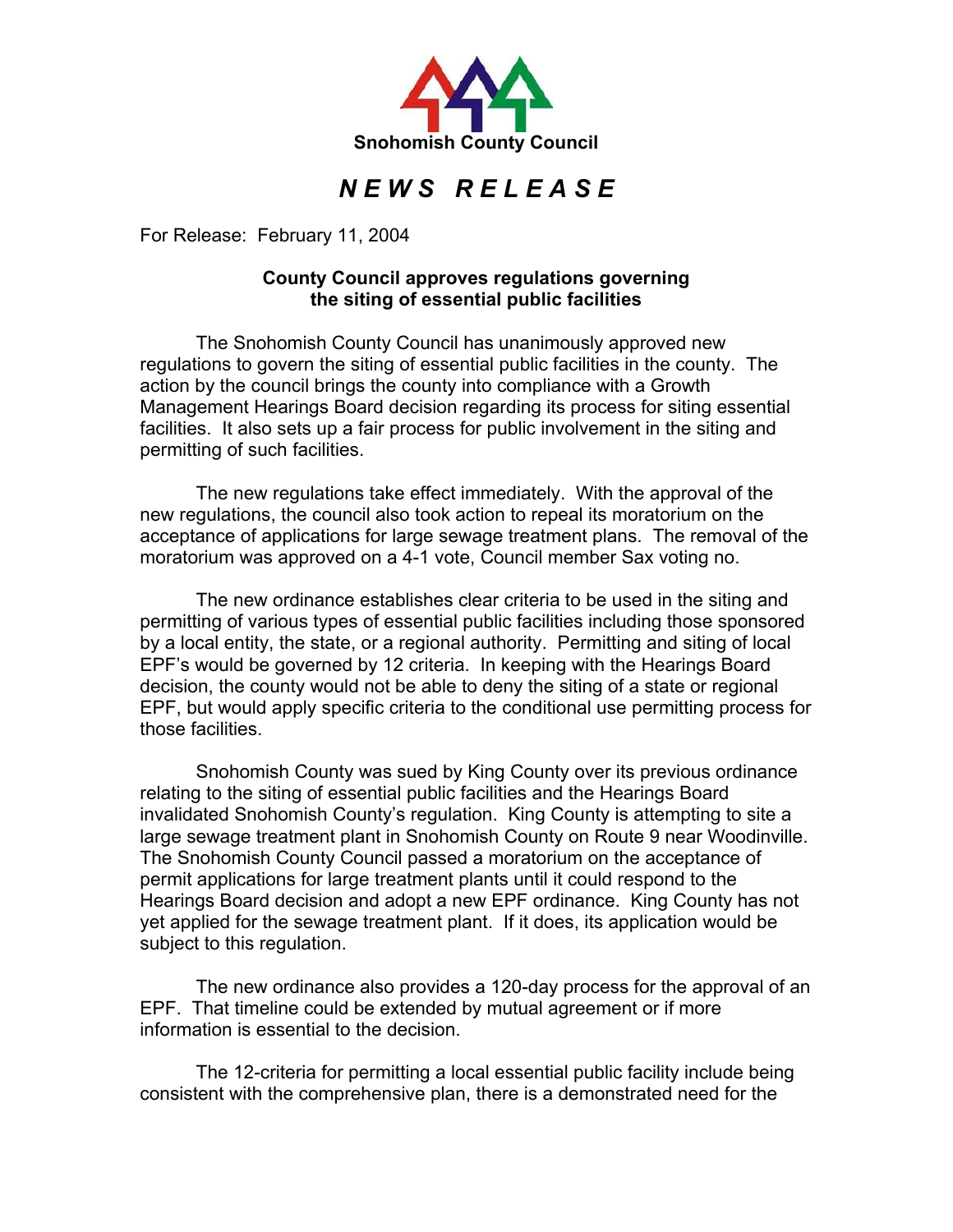

## *N E W S R E L E A S E*

For Release: February 11, 2004

## **County Council approves regulations governing the siting of essential public facilities**

The Snohomish County Council has unanimously approved new regulations to govern the siting of essential public facilities in the county. The action by the council brings the county into compliance with a Growth Management Hearings Board decision regarding its process for siting essential facilities. It also sets up a fair process for public involvement in the siting and permitting of such facilities.

The new regulations take effect immediately. With the approval of the new regulations, the council also took action to repeal its moratorium on the acceptance of applications for large sewage treatment plans. The removal of the moratorium was approved on a 4-1 vote, Council member Sax voting no.

 The new ordinance establishes clear criteria to be used in the siting and permitting of various types of essential public facilities including those sponsored by a local entity, the state, or a regional authority. Permitting and siting of local EPF's would be governed by 12 criteria. In keeping with the Hearings Board decision, the county would not be able to deny the siting of a state or regional EPF, but would apply specific criteria to the conditional use permitting process for those facilities.

 Snohomish County was sued by King County over its previous ordinance relating to the siting of essential public facilities and the Hearings Board invalidated Snohomish County's regulation. King County is attempting to site a large sewage treatment plant in Snohomish County on Route 9 near Woodinville. The Snohomish County Council passed a moratorium on the acceptance of permit applications for large treatment plants until it could respond to the Hearings Board decision and adopt a new EPF ordinance. King County has not yet applied for the sewage treatment plant. If it does, its application would be subject to this regulation.

 The new ordinance also provides a 120-day process for the approval of an EPF. That timeline could be extended by mutual agreement or if more information is essential to the decision.

The 12-criteria for permitting a local essential public facility include being consistent with the comprehensive plan, there is a demonstrated need for the